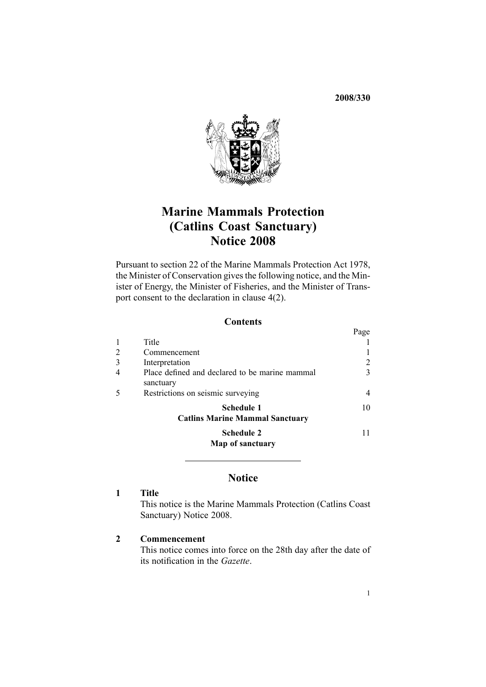**2008/330**



## **Marine Mammals Protection (Catlins Coast Sanctuary) Notice <sup>2008</sup>**

Pursuant to [section](http://www.legislation.govt.nz/pdfLink.aspx?id=DLM25372) <sup>22</sup> of the Marine Mammals Protection Act 1978, the Minister of Conservation <sup>g</sup>ives the following notice, and the Minister of Energy, the Minister of Fisheries, and the Minister of Transport consent to the declaration in [clause](#page-2-0)  $4(2)$ .

### **Contents**

|   |                                                             | Page |
|---|-------------------------------------------------------------|------|
|   | Title                                                       |      |
| 2 | Commencement                                                |      |
| 3 | Interpretation                                              | 2    |
| 4 | Place defined and declared to be marine mammal<br>sanctuary | 3    |
| 5 | Restrictions on seismic surveying                           | 4    |
|   | <b>Schedule 1</b><br><b>Catlins Marine Mammal Sanctuary</b> | 10   |
|   | <b>Schedule 2</b><br>Map of sanctuary                       |      |
|   |                                                             |      |

### **Notice**

### **<sup>1</sup> Title**

This notice is the Marine Mammals Protection (Catlins Coast Sanctuary) Notice 2008.

### **<sup>2</sup> Commencement**

This notice comes into force on the 28th day after the date of its notification in the *Gazette*.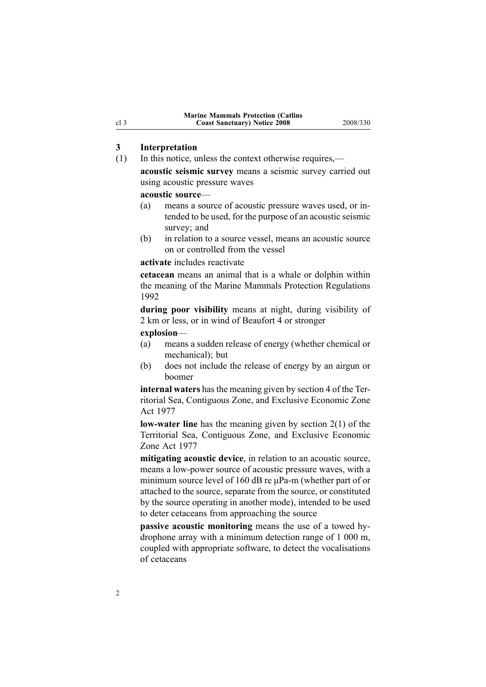# <span id="page-1-0"></span>**3 Interpretation**<br>(1) In this notice, u

- In this notice, unless the context otherwise requires,
	- **acoustic seismic survey** means <sup>a</sup> seismic survey carried out using acoustic pressure waves

# **acoustic source—**<br>(a) means a sou

- means a source of acoustic pressure waves used, or intended to be used, for the purpose of an acoustic seismic survey; and
- (b) in relation to <sup>a</sup> source vessel, means an acoustic source on or controlled from the vessel

### **activate** includes reactivate

**cetacean** means an animal that is <sup>a</sup> whale or dolphin within the meaning of the Marine Mammals Protection Regulations 1992

**during poor visibility** means at night, during visibility of <sup>2</sup> km or less, or in wind of Beaufort <sup>4</sup> or stronger

**explosion**—

- (a) means <sup>a</sup> sudden release of energy (whether chemical or mechanical); but
- (b) does not include the release of energy by an airgun or boomer

**internal waters** has the meaning <sup>g</sup>iven by [section](http://www.legislation.govt.nz/pdfLink.aspx?id=DLM442667) <sup>4</sup> of the Territorial Sea, Contiguous Zone, and Exclusive Economic Zone Act <sup>1977</sup>

**low-water line** has the meaning given by [section](http://www.legislation.govt.nz/pdfLink.aspx?id=DLM442587)  $2(1)$  of the Territorial Sea, Contiguous Zone, and Exclusive Economic Zone Act <sup>1977</sup>

**mitigating acoustic device**, in relation to an acoustic source, means a low-power source of acoustic pressure waves, with a minimum source level of 160 dB re uPa-m (whether part of or attached to the source, separate from the source, or constituted by the source operating in another mode), intended to be used to deter cetaceans from approaching the source

**passive acoustic monitoring** means the use of a towed hydrophone array with <sup>a</sup> minimum detection range of <sup>1</sup> <sup>000</sup> m, coupled with appropriate software, to detect the vocalisations of cetaceans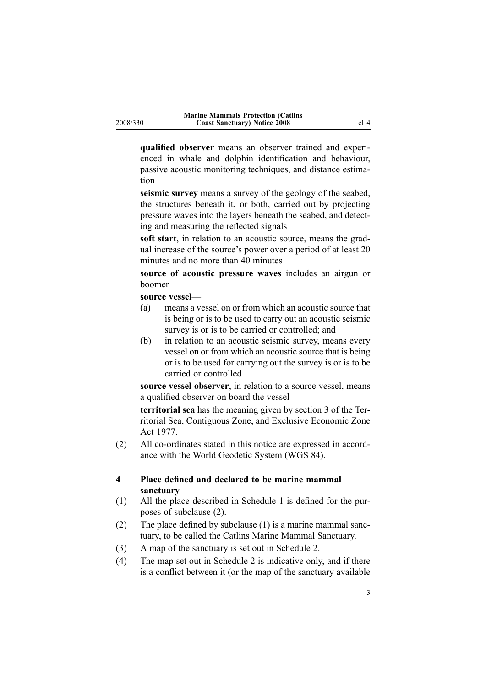<span id="page-2-0"></span>**qualified observer** means an observer trained and experienced in whale and dolphin identification and behaviour, passive acoustic monitoring techniques, and distance estimation

**seismic survey** means a survey of the geology of the seabed, the structures beneath it, or both, carried out by projecting pressure waves into the layers beneath the seabed, and detecting and measuring the reflected signals

**soft start**, in relation to an acoustic source, means the gradual increase of the source's power over <sup>a</sup> period of at least <sup>20</sup> minutes and no more than <sup>40</sup> minutes

**source of acoustic pressure waves** includes an airgun or boomer

## **source vessel—**<br>(a) means a **v**

- means a vessel on or from which an acoustic source that is being or is to be used to carry out an acoustic seismic survey is or is to be carried or controlled; and
- (b) in relation to an acoustic seismic survey, means every vessel on or from which an acoustic source that is being or is to be used for carrying out the survey is or is to be carried or controlled

**source vessel observer**, in relation to <sup>a</sup> source vessel, means <sup>a</sup> qualified observer on board the vessel

**territorial sea** has the meaning <sup>g</sup>iven by [section](http://www.legislation.govt.nz/pdfLink.aspx?id=DLM442665) <sup>3</sup> of the Territorial Sea, Contiguous Zone, and Exclusive Economic Zone Act 1977.

 $(2)$  All co-ordinates stated in this notice are expressed in accordance with the World Geodetic System (WGS 84).

### **<sup>4</sup> Place defined and declared to be marine mammal sanctuary**

- (1) All the <sup>p</sup>lace described in [Schedule](#page-9-0) <sup>1</sup> is defined for the purposes of subclause (2).
- (2) The <sup>p</sup>lace defined by subclause (1) is <sup>a</sup> marine mammal sanctuary, to be called the Catlins Marine Mammal Sanctuary.
- (3) A map of the sanctuary is set out in [Schedule](#page-9-0) 2.<br>
(4) The map set out in Schedule 2 is indicative only
- The map set out in [Schedule](#page-9-0) 2 is indicative only, and if there is <sup>a</sup> conflict between it (or the map of the sanctuary available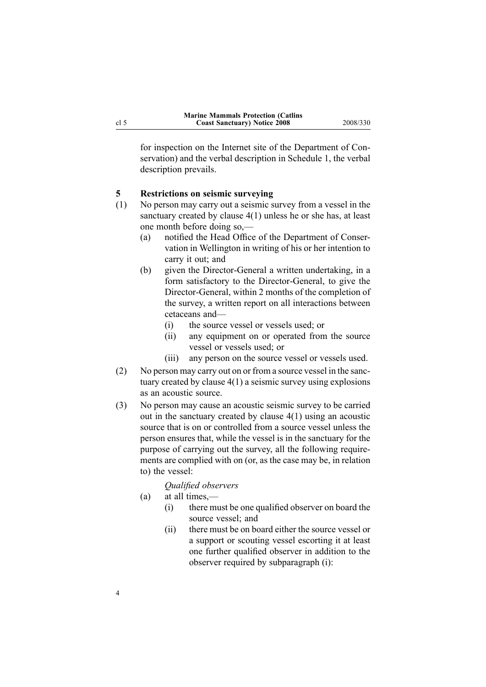<span id="page-3-0"></span>for inspection on the Internet site of the Department of Conservation) and the verbal description in [Schedule](#page-9-0) 1, the verbal description prevails.

# **5 Restrictions on seismic surveying**<br>
(1) No person may carry out a seismic s

- No person may carry out a seismic survey from a vessel in the sanctuary created by [clause](#page-2-0) 4(1) unless he or she has, at least one month before doing so,—<br>(a) notified the Head Office
	- notified the Head Office of the Department of Conservation in Wellington in writing of his or her intention to carry it out; and
	- (b) given the Director-General a written undertaking, in a form satisfactory to the Director-General, to give the Director-General, within 2 months of the completion of the survey, <sup>a</sup> written repor<sup>t</sup> on all interactions between cetaceans and—<br>(i) the source
		- (i) the source vessel or vessels used; or<br>(ii) any equipment on or operated from
		- any equipment on or operated from the source vessel or vessels used; or
		- (iii) any person on the source vessel or vessels used.
- (2) No person may carry out on or from <sup>a</sup> source vessel in the sanctuary created by [clause](#page-2-0) 4(1) <sup>a</sup> seismic survey using explosions as an acoustic source.
- (3) No person may cause an acoustic seismic survey to be carried out in the sanctuary created by [clause](#page-2-0) 4(1) using an acoustic source that is on or controlled from <sup>a</sup> source vessel unless the person ensures that, while the vessel is in the sanctuary for the purpose of carrying out the survey, all the following requirements are complied with on (or, as the case may be, in relation to) the vessel:
	- *Qualified observers*
	- (a) at all times,—<br>(i) there mu
		- there must be one qualified observer on board the source vessel; and
		- (ii) there must be on board either the source vessel or <sup>a</sup> suppor<sup>t</sup> or scouting vessel escorting it at least one further qualified observer in addition to the observer required by subparagraph (i):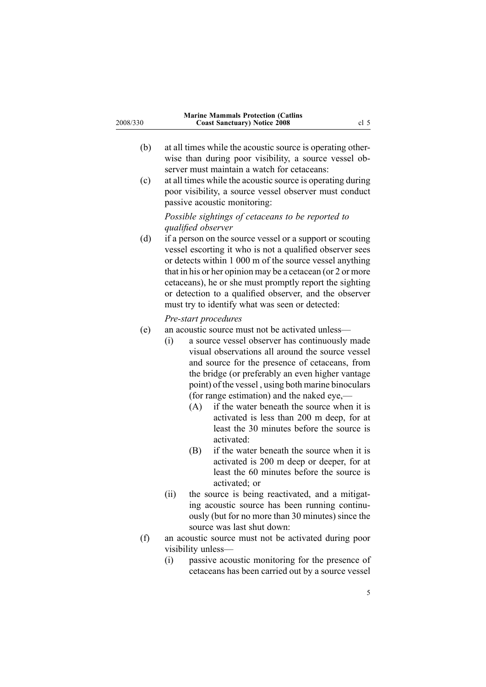- (b) at all times while the acoustic source is operating otherwise than during poor visibility, <sup>a</sup> source vessel observer must maintain <sup>a</sup> watch for cetaceans:
- (c) at all times while the acoustic source is operating during poor visibility, <sup>a</sup> source vessel observer must conduct passive acoustic monitoring:

*Possible sightings of cetaceans to be reported to qualified observer*

(d) if <sup>a</sup> person on the source vessel or <sup>a</sup> suppor<sup>t</sup> or scouting vessel escorting it who is not <sup>a</sup> qualified observer sees or detects within <sup>1</sup> <sup>000</sup> <sup>m</sup> of the source vessel anything that in his or her opinion may be <sup>a</sup> cetacean (or <sup>2</sup> or more cetaceans), he or she must promptly repor<sup>t</sup> the sighting or detection to <sup>a</sup> qualified observer, and the observer must try to identify what was seen or detected:

### *Prestart procedures*

- (e) an acoustic source must not be activated unless—<br>(i) a source vessel observer has continuously
	- a source vessel observer has continuously made visual observations all around the source vessel and source for the presence of cetaceans, from the bridge (or preferably an even higher vantage point) of the vessel , using both marine binoculars (for range estimation) and the naked eye,— $(A)$  if the water beneath the source when
		- if the water beneath the source when it is activated is less than <sup>200</sup> <sup>m</sup> deep, for at least the <sup>30</sup> minutes before the source is activated:
		- (B) if the water beneath the source when it is activated is <sup>200</sup> <sup>m</sup> deep or deeper, for at least the <sup>60</sup> minutes before the source is activated; or
	- (ii) the source is being reactivated, and <sup>a</sup> mitigating acoustic source has been running continuously (but for no more than <sup>30</sup> minutes) since the source was last shut down:
- (f) an acoustic source must not be activated during poor visibility unless—<br>(i) passive aco
	- passive acoustic monitoring for the presence of cetaceans has been carried out by <sup>a</sup> source vessel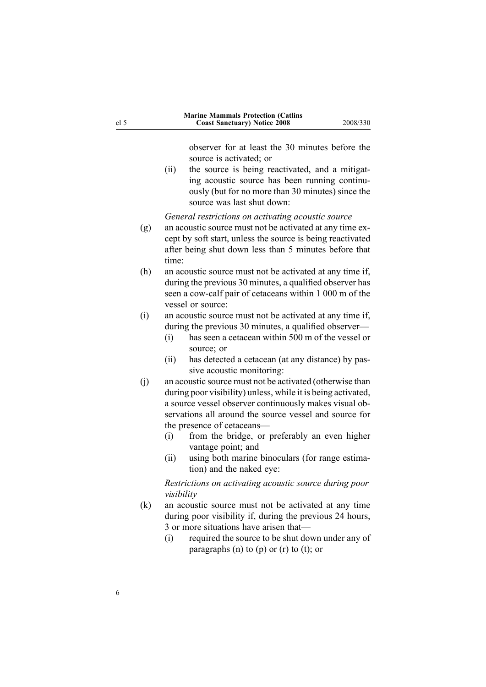observer for at least the <sup>30</sup> minutes before the source is activated; or

(ii) the source is being reactivated, and <sup>a</sup> mitigating acoustic source has been running continuously (but for no more than <sup>30</sup> minutes) since the source was last shut down:

*General restrictions on activating acoustic source*

- (g) an acoustic source must not be activated at any time excep<sup>t</sup> by soft start, unless the source is being reactivated after being shut down less than <sup>5</sup> minutes before that time:
- (h) an acoustic source must not be activated at any time if, during the previous <sup>30</sup> minutes, <sup>a</sup> qualified observer has seen a cow-calf pair of cetaceans within 1 000 m of the vessel or source:
- (i) an acoustic source must not be activated at any time if, during the previous 30 minutes, a qualified observer—<br>(i) has seen a cetacean within 500 m of the vessel or
	- has seen a cetacean within 500 m of the vessel or source; or
	- (ii) has detected <sup>a</sup> cetacean (at any distance) by passive acoustic monitoring:
- (j) an acoustic source must not be activated (otherwise than during poor visibility) unless, while it is being activated, <sup>a</sup> source vessel observer continuously makes visual observations all around the source vessel and source for the presence of cetaceans—<br>(i) from the bridge, or
	- from the bridge, or preferably an even higher vantage point; and
	- (ii) using both marine binoculars (for range estimation) and the naked eye:

*Restrictions on activating acoustic source during poor visibility*

- (k) an acoustic source must not be activated at any time during poor visibility if, during the previous <sup>24</sup> hours, 3 or more situations have arisen that—<br>(i) required the source to be shut do
	- required the source to be shut down under any of paragraphs (n) to (p) or (r) to (t); or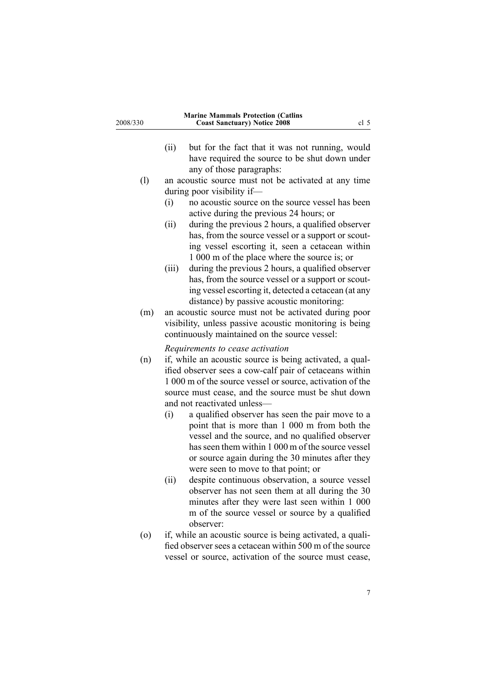| 2008/330           | <b>Marine Mammals Protection (Catlins</b><br><b>Coast Sanctuary) Notice 2008</b><br>cl <sub>5</sub>                                                                                                                                                                                                          |
|--------------------|--------------------------------------------------------------------------------------------------------------------------------------------------------------------------------------------------------------------------------------------------------------------------------------------------------------|
|                    | (ii)<br>but for the fact that it was not running, would<br>have required the source to be shut down under<br>any of those paragraphs:                                                                                                                                                                        |
| (1)                | an acoustic source must not be activated at any time                                                                                                                                                                                                                                                         |
|                    | during poor visibility if—                                                                                                                                                                                                                                                                                   |
|                    | no acoustic source on the source vessel has been<br>(i)                                                                                                                                                                                                                                                      |
|                    | active during the previous 24 hours; or                                                                                                                                                                                                                                                                      |
|                    | during the previous 2 hours, a qualified observer<br>(ii)                                                                                                                                                                                                                                                    |
|                    | has, from the source vessel or a support or scout-<br>ing vessel escorting it, seen a cetacean within<br>1 000 m of the place where the source is; or                                                                                                                                                        |
|                    | (iii)<br>during the previous 2 hours, a qualified observer<br>has, from the source vessel or a support or scout-<br>ing vessel escorting it, detected a cetacean (at any<br>distance) by passive acoustic monitoring:                                                                                        |
| (m)                | an acoustic source must not be activated during poor<br>visibility, unless passive acoustic monitoring is being<br>continuously maintained on the source vessel:                                                                                                                                             |
|                    | Requirements to cease activation                                                                                                                                                                                                                                                                             |
| (n)                | if, while an acoustic source is being activated, a qual-<br>ified observer sees a cow-calf pair of cetaceans within<br>1 000 m of the source vessel or source, activation of the<br>source must cease, and the source must be shut down<br>and not reactivated unless-                                       |
|                    | (i)<br>a qualified observer has seen the pair move to a<br>point that is more than 1 000 m from both the<br>vessel and the source, and no qualified observer<br>has seen them within 1 000 m of the source vessel<br>or source again during the 30 minutes after they<br>were seen to move to that point; or |
|                    | (ii)<br>despite continuous observation, a source vessel<br>observer has not seen them at all during the 30<br>minutes after they were last seen within 1 000<br>m of the source vessel or source by a qualified<br>observer:                                                                                 |
| $\left( 0 \right)$ | if, while an acoustic source is being activated, a quali-<br>fied observer sees a cetacean within 500 m of the source<br>vessel or source, activation of the source must cease,                                                                                                                              |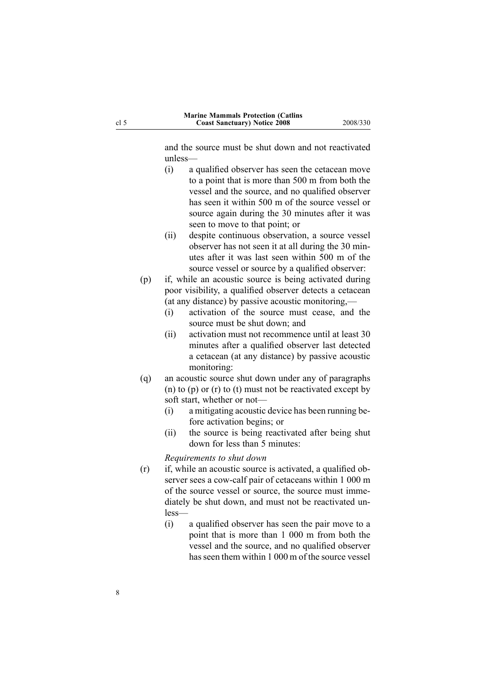and the source must be shut down and not reactivated unless—

- (i) <sup>a</sup> qualified observer has seen the cetacean move to <sup>a</sup> point that is more than <sup>500</sup> <sup>m</sup> from both the vessel and the source, and no qualified observer has seen it within <sup>500</sup> <sup>m</sup> of the source vessel or source again during the <sup>30</sup> minutes after it was seen to move to that point; or
- (ii) despite continuous observation, <sup>a</sup> source vessel observer has not seen it at all during the <sup>30</sup> minutes after it was last seen within <sup>500</sup> <sup>m</sup> of the source vessel or source by <sup>a</sup> qualified observer:
- (p) if, while an acoustic source is being activated during poor visibility, <sup>a</sup> qualified observer detects <sup>a</sup> cetacean (at any distance) by passive acoustic monitoring,—<br>(i) activation of the source must cease, and
	- activation of the source must cease, and the source must be shut down; and
	- (ii) activation must not recommence until at least <sup>30</sup> minutes after <sup>a</sup> qualified observer last detected <sup>a</sup> cetacean (at any distance) by passive acoustic monitoring:
- (q) an acoustic source shut down under any of paragraphs (n) to (p) or (r) to (t) must not be reactivated excep<sup>t</sup> by soft start, whether or not—<br>(i) a mitigating acoustic
	- a mitigating acoustic device has been running before activation begins; or
	- (ii) the source is being reactivated after being shut down for less than <sup>5</sup> minutes:

*Requirements to shut down*

- (r) if, while an acoustic source is activated, <sup>a</sup> qualified observer sees a cow-calf pair of cetaceans within 1 000 m of the source vessel or source, the source must immediately be shut down, and must not be reactivated unless—
	- (i) <sup>a</sup> qualified observer has seen the pair move to <sup>a</sup> point that is more than <sup>1</sup> <sup>000</sup> <sup>m</sup> from both the vessel and the source, and no qualified observer has seen them within <sup>1</sup> <sup>000</sup> <sup>m</sup> of the source vessel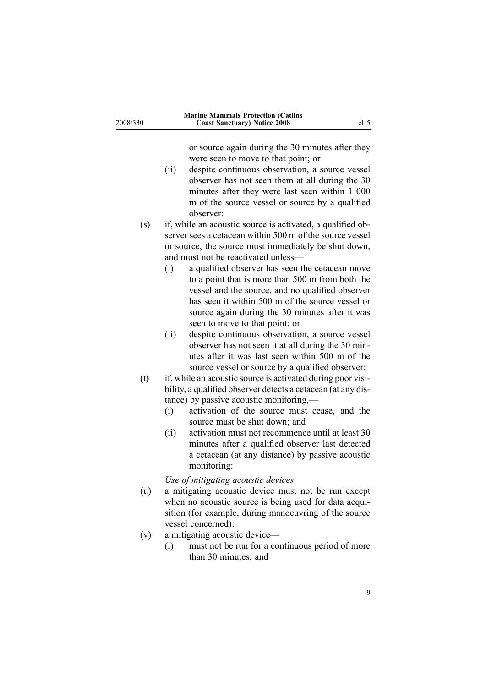| 2008/330 | <b>Marine Mammals Protection (Catlins</b><br><b>Coast Sanctuary) Notice 2008</b><br>cl 5                                                                                                                                                                                                                                                                                                                                                          |
|----------|---------------------------------------------------------------------------------------------------------------------------------------------------------------------------------------------------------------------------------------------------------------------------------------------------------------------------------------------------------------------------------------------------------------------------------------------------|
|          | or source again during the 30 minutes after they<br>were seen to move to that point; or<br>despite continuous observation, a source vessel<br>(ii)<br>observer has not seen them at all during the 30<br>minutes after they were last seen within 1 000<br>m of the source vessel or source by a qualified<br>observer:                                                                                                                           |
| (s)      | if, while an acoustic source is activated, a qualified ob-<br>server sees a cetacean within 500 m of the source vessel<br>or source, the source must immediately be shut down,<br>and must not be reactivated unless-                                                                                                                                                                                                                             |
|          | (i)<br>a qualified observer has seen the cetacean move<br>to a point that is more than 500 m from both the<br>vessel and the source, and no qualified observer<br>has seen it within 500 m of the source vessel or<br>source again during the 30 minutes after it was<br>seen to move to that point; or                                                                                                                                           |
|          | despite continuous observation, a source vessel<br>(ii)<br>observer has not seen it at all during the 30 min-<br>utes after it was last seen within 500 m of the<br>source vessel or source by a qualified observer:                                                                                                                                                                                                                              |
| (t)      | if, while an acoustic source is activated during poor visi-<br>bility, a qualified observer detects a cetacean (at any dis-<br>tance) by passive acoustic monitoring,-<br>activation of the source must cease, and the<br>(i)<br>source must be shut down; and<br>(ii)<br>activation must not recommence until at least 30<br>minutes after a qualified observer last detected<br>a cetacean (at any distance) by passive acoustic<br>monitoring: |
| (u)      | Use of mitigating acoustic devices<br>a mitigating acoustic device must not be run except<br>when no acoustic source is being used for data acqui-<br>sition (for example, during manoeuvring of the source<br>vessel concerned):                                                                                                                                                                                                                 |
| (v)      | a mitigating acoustic device-<br>must not be run for a continuous period of more<br>(i)<br>than 30 minutes; and                                                                                                                                                                                                                                                                                                                                   |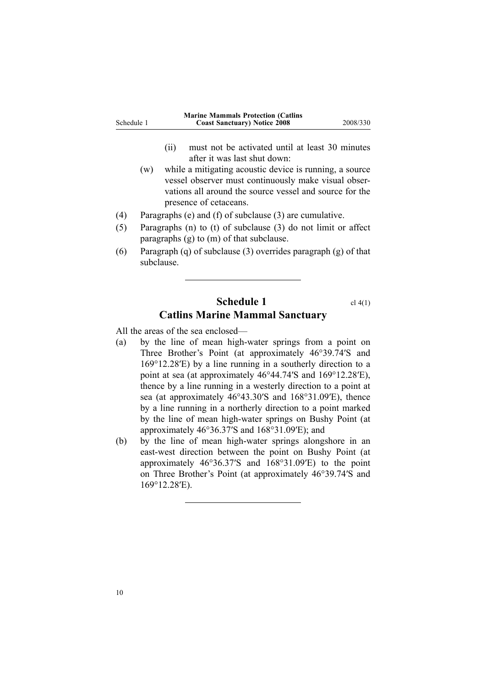<span id="page-9-0"></span>

| Schedule 1 | <b>Marine Mammals Protection (Catlins)</b><br><b>Coast Sanctuary</b> ) Notice 2008 | 2008/330 |
|------------|------------------------------------------------------------------------------------|----------|
|            |                                                                                    |          |

- (ii) must not be activated until at least <sup>30</sup> minutes after it was last shut down:
- (w) while <sup>a</sup> mitigating acoustic device is running, <sup>a</sup> source vessel observer must continuously make visual observations all around the source vessel and source for the presence of cetaceans.
- (4) Paragraphs (e) and (f) of subclause (3) are cumulative.<br>(5) Paragraphs (n) to (t) of subclause (3) do not limit or
- Paragraphs (n) to (t) of subclause (3) do not limit or affect paragraphs (g) to (m) of that subclause.
- (6) Paragraph (q) of subclause (3) overrides paragrap<sup>h</sup> (g) of that subclause.

## **Schedule 1** cl [4\(1\)](#page-2-0) **Catlins Marine Mammal Sanctuary**

All the areas of the sea enclosed—<br>(a) by the line of mean high-

- by the line of mean high-water springs from a point on Three Brother's Point (at approximately 46°39.74′S and 169°12.28′E) by <sup>a</sup> line running in <sup>a</sup> southerly direction to <sup>a</sup> point at sea (at approximately 46°44.74′S and 169°12.28′E), thence by <sup>a</sup> line running in <sup>a</sup> westerly direction to <sup>a</sup> point at sea (at approximately 46°43.30′S and 168°31.09′E), thence by <sup>a</sup> line running in <sup>a</sup> northerly direction to <sup>a</sup> point marked by the line of mean high-water springs on Bushy Point (at approximately 46°36.37′S and 168°31.09′E); and
- (b) by the line of mean high-water springs alongshore in an east-west direction between the point on Bushy Point (at approximately 46°36.37′S and 168°31.09′E) to the point on Three Brother's Point (at approximately 46°39.74′S and 169°12.28′E).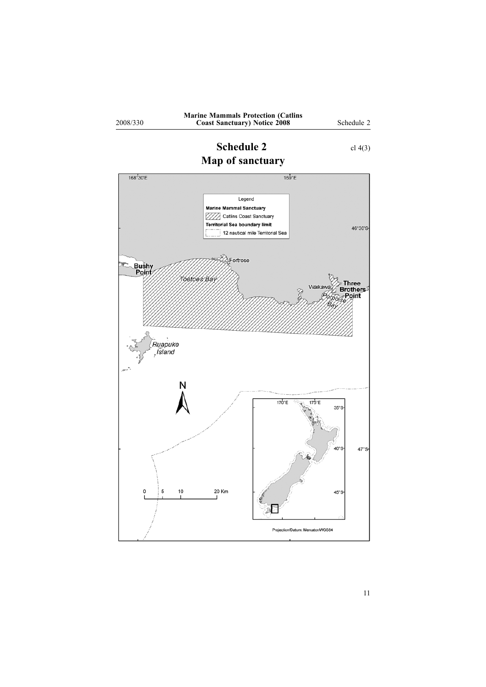

<span id="page-10-0"></span>2008/330

# **Schedule 2** cl [4\(3\)](#page-2-0)



11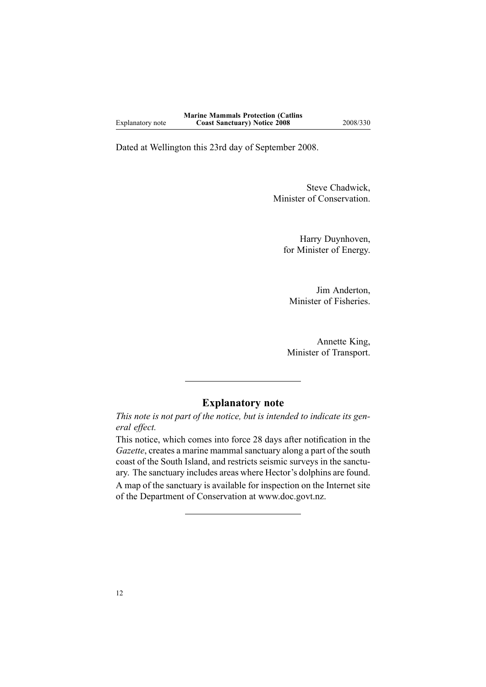Dated at Wellington this 23rd day of September 2008.

Steve Chadwick, Minister of Conservation.

Harry Duynhoven, for Minister of Energy.

Jim Anderton, Minister of Fisheries.

Annette King, Minister of Transport.

### **Explanatory note**

This note is not part of the notice, but is intended to indicate its gen*eral effect.*

This notice, which comes into force <sup>28</sup> days after notification in the *Gazette*, creates <sup>a</sup> marine mammal sanctuary along <sup>a</sup> par<sup>t</sup> of the south coast of the South Island, and restricts seismic surveys in the sanctuary. The sanctuary includes areas where Hector's dolphins are found. <sup>A</sup> map of the sanctuary is available for inspection on the Internet site of the Department of Conservation at www.doc.govt.nz.